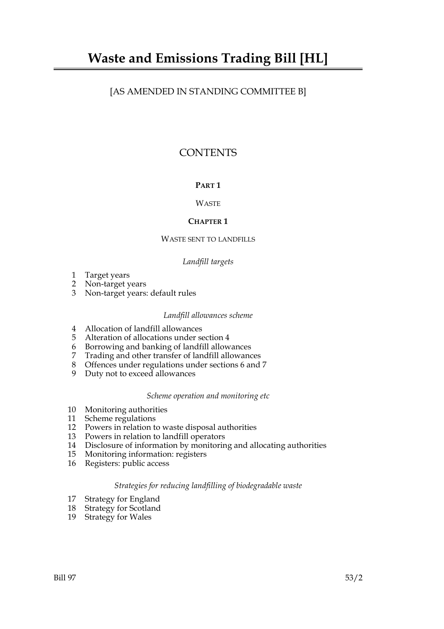# [AS AMENDED IN STANDING COMMITTEE B]

# **CONTENTS**

# **PART 1**

# **WASTE**

# **CHAPTER 1**

### WASTE SENT TO LANDFILLS

# *Landfill targets*

- 1 Target years
- 2 Non-target years
- 3 Non-target years: default rules

### *Landfill allowances scheme*

- 4 Allocation of landfill allowances
- 5 Alteration of allocations under section 4
- 6 Borrowing and banking of landfill allowances
- 7 Trading and other transfer of landfill allowances
- 8 Offences under regulations under sections 6 and 7
- 9 Duty not to exceed allowances

#### *Scheme operation and monitoring etc*

- 10 Monitoring authorities
- 11 Scheme regulations
- 12 Powers in relation to waste disposal authorities
- 13 Powers in relation to landfill operators
- 14 Disclosure of information by monitoring and allocating authorities
- 15 Monitoring information: registers
- 16 Registers: public access

#### *Strategies for reducing landfilling of biodegradable waste*

- 17 Strategy for England
- 18 Strategy for Scotland
- 19 Strategy for Wales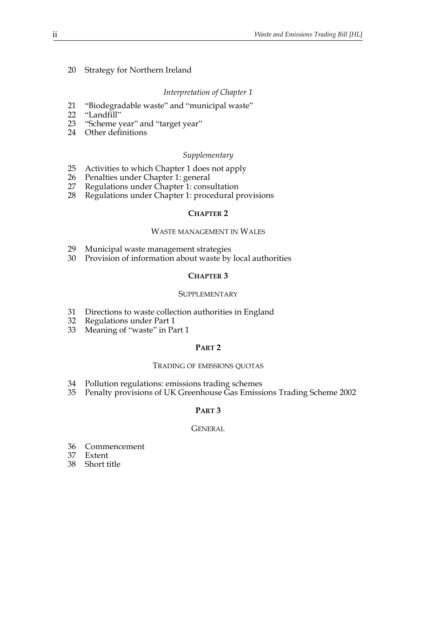#### 20 Strategy for Northern Ireland

#### *Interpretation of Chapter 1*

- 21 "Biodegradable waste" and "municipal waste"
- "Landfill"
- 23 "Scheme year" and "target year"
- 24 Other definitions

#### *Supplementary*

- 25 Activities to which Chapter 1 does not apply
- 26 Penalties under Chapter 1: general<br>27 Regulations under Chapter 1: cons
- Regulations under Chapter 1: consultation
- 28 Regulations under Chapter 1: procedural provisions

#### **CHAPTER 2**

#### WASTE MANAGEMENT IN WALES

- 29 Municipal waste management strategies
- 30 Provision of information about waste by local authorities

#### **CHAPTER 3**

#### **SUPPLEMENTARY**

- 31 Directions to waste collection authorities in England
- 32 Regulations under Part 1
- 33 Meaning of "waste" in Part 1

#### **PART 2**

#### TRADING OF EMISSIONS QUOTAS

- 34 Pollution regulations: emissions trading schemes
- 35 Penalty provisions of UK Greenhouse Gas Emissions Trading Scheme 2002

#### **PART 3**

#### **GENERAL**

- 36 Commencement
- 37 Extent
- 38 Short title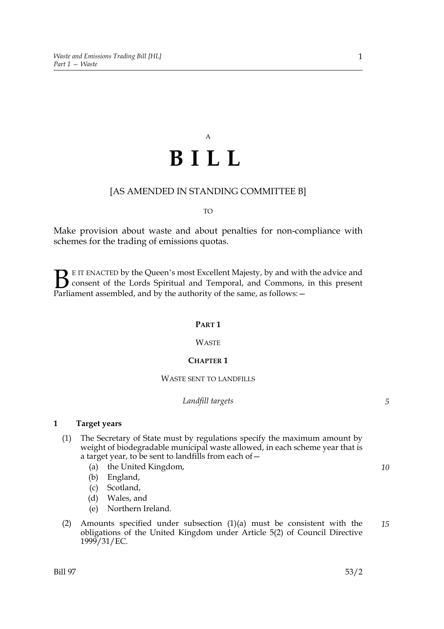# A **BILL**

### [AS AMENDED IN STANDING COMMITTEE B]

TO

Make provision about waste and about penalties for non-compliance with schemes for the trading of emissions quotas.

E IT ENACTED by the Queen's most Excellent Majesty, by and with the advice and consent of the Lords Spiritual and Temporal, and Commons, in this present Parliament assembled, and by the authority of the same, as follows: - $\mathbf{B}_{\text{rel}}$ 

#### **PART 1**

**WASTE** 

#### **CHAPTER 1**

#### WASTE SENT TO LANDFILLS

#### *Landfill targets*

#### **1 Target years**

- (1) The Secretary of State must by regulations specify the maximum amount by weight of biodegradable municipal waste allowed, in each scheme year that is a target year, to be sent to landfills from each of—
	- (a) the United Kingdom,
	- (b) England,
	- (c) Scotland,
	- (d) Wales, and
	- (e) Northern Ireland.
- (2) Amounts specified under subsection (1)(a) must be consistent with the obligations of the United Kingdom under Article 5(2) of Council Directive 1999/31/EC. *15*

*5*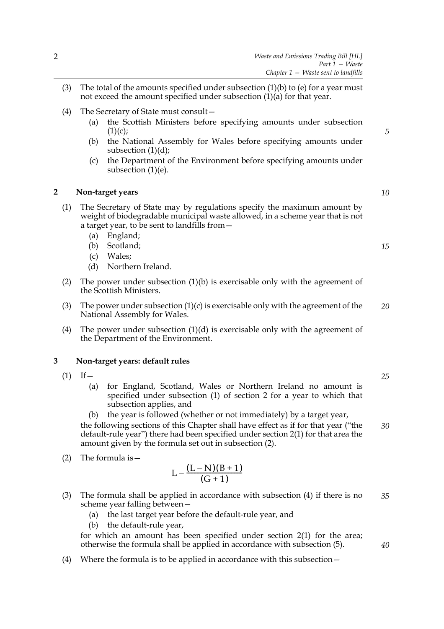- (3) The total of the amounts specified under subsection  $(1)(b)$  to (e) for a year must not exceed the amount specified under subsection (1)(a) for that year.
- (4) The Secretary of State must consult—
	- (a) the Scottish Ministers before specifying amounts under subsection  $(1)(c);$
	- (b) the National Assembly for Wales before specifying amounts under subsection (1)(d);
	- (c) the Department of the Environment before specifying amounts under subsection (1)(e).

#### **2 Non-target years**

- (1) The Secretary of State may by regulations specify the maximum amount by weight of biodegradable municipal waste allowed, in a scheme year that is not a target year, to be sent to landfills from—
	- (a) England;
	- (b) Scotland;
	- (c) Wales;
	- (d) Northern Ireland.
- (2) The power under subsection (1)(b) is exercisable only with the agreement of the Scottish Ministers.
- (3) The power under subsection  $(1)(c)$  is exercisable only with the agreement of the National Assembly for Wales. *20*
- (4) The power under subsection (1)(d) is exercisable only with the agreement of the Department of the Environment.

#### **3 Non-target years: default rules**

- $(1)$  If
	- (a) for England, Scotland, Wales or Northern Ireland no amount is specified under subsection (1) of section 2 for a year to which that subsection applies, and
	- (b) the year is followed (whether or not immediately) by a target year,

the following sections of this Chapter shall have effect as if for that year ("the default-rule year") there had been specified under section 2(1) for that area the amount given by the formula set out in subsection (2). *30*

(2) The formula is—

$$
L - \frac{(L-N)(B+1)}{(G+1)}
$$

- (3) The formula shall be applied in accordance with subsection (4) if there is no scheme year falling between— *35*
	- (a) the last target year before the default-rule year, and
	- (b) the default-rule year,

for which an amount has been specified under section 2(1) for the area; otherwise the formula shall be applied in accordance with subsection (5).

(4) Where the formula is to be applied in accordance with this subsection—

*10*

*5*

*15*

*25*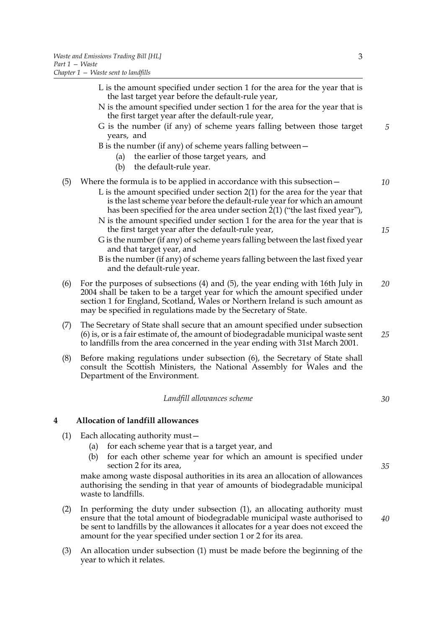- L is the amount specified under section 1 for the area for the year that is the last target year before the default-rule year,
- N is the amount specified under section 1 for the area for the year that is the first target year after the default-rule year,
- G is the number (if any) of scheme years falling between those target years, and
- B is the number (if any) of scheme years falling between
	- the earlier of those target years, and
	- (b) the default-rule year.
- (5) Where the formula is to be applied in accordance with this subsection—
	- L is the amount specified under section 2(1) for the area for the year that is the last scheme year before the default-rule year for which an amount has been specified for the area under section 2(1) ("the last fixed year"),
	- N is the amount specified under section 1 for the area for the year that is the first target year after the default-rule year,
	- G is the number (if any) of scheme years falling between the last fixed year and that target year, and
	- B is the number (if any) of scheme years falling between the last fixed year and the default-rule year.
- (6) For the purposes of subsections (4) and (5), the year ending with 16th July in 2004 shall be taken to be a target year for which the amount specified under section 1 for England, Scotland, Wales or Northern Ireland is such amount as may be specified in regulations made by the Secretary of State. *20*
- (7) The Secretary of State shall secure that an amount specified under subsection (6) is, or is a fair estimate of, the amount of biodegradable municipal waste sent to landfills from the area concerned in the year ending with 31st March 2001. *25*
- (8) Before making regulations under subsection (6), the Secretary of State shall consult the Scottish Ministers, the National Assembly for Wales and the Department of the Environment.

*Landfill allowances scheme*

### **4 Allocation of landfill allowances**

- (1) Each allocating authority must—
	- (a) for each scheme year that is a target year, and
	- (b) for each other scheme year for which an amount is specified under section 2 for its area,

make among waste disposal authorities in its area an allocation of allowances authorising the sending in that year of amounts of biodegradable municipal waste to landfills.

- (2) In performing the duty under subsection (1), an allocating authority must ensure that the total amount of biodegradable municipal waste authorised to be sent to landfills by the allowances it allocates for a year does not exceed the amount for the year specified under section 1 or 2 for its area.
- (3) An allocation under subsection (1) must be made before the beginning of the year to which it relates.

*5*

*10*

*15*

*30*

*35*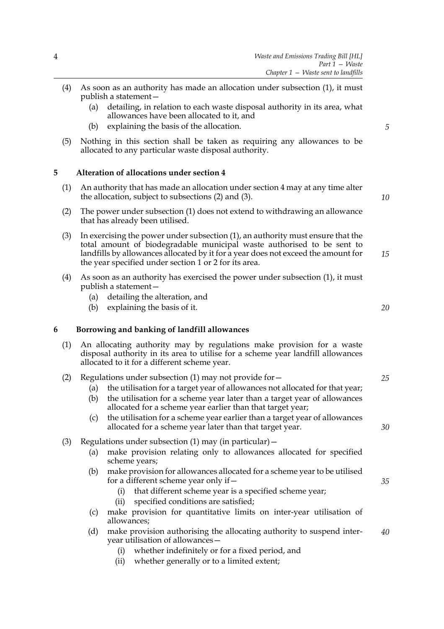- (4) As soon as an authority has made an allocation under subsection (1), it must publish a statement—
	- (a) detailing, in relation to each waste disposal authority in its area, what allowances have been allocated to it, and
	- (b) explaining the basis of the allocation.
- (5) Nothing in this section shall be taken as requiring any allowances to be allocated to any particular waste disposal authority.

#### **5 Alteration of allocations under section 4**

- (1) An authority that has made an allocation under section 4 may at any time alter the allocation, subject to subsections (2) and (3).
- (2) The power under subsection (1) does not extend to withdrawing an allowance that has already been utilised.
- (3) In exercising the power under subsection (1), an authority must ensure that the total amount of biodegradable municipal waste authorised to be sent to landfills by allowances allocated by it for a year does not exceed the amount for the year specified under section 1 or 2 for its area. *15*
- (4) As soon as an authority has exercised the power under subsection (1), it must publish a statement—
	- (a) detailing the alteration, and
	- (b) explaining the basis of it.

#### **6 Borrowing and banking of landfill allowances**

- (1) An allocating authority may by regulations make provision for a waste disposal authority in its area to utilise for a scheme year landfill allowances allocated to it for a different scheme year.
- (2) Regulations under subsection (1) may not provide for—
	- (a) the utilisation for a target year of allowances not allocated for that year;
	- (b) the utilisation for a scheme year later than a target year of allowances allocated for a scheme year earlier than that target year;
	- (c) the utilisation for a scheme year earlier than a target year of allowances allocated for a scheme year later than that target year.
- (3) Regulations under subsection  $(1)$  may (in particular)
	- (a) make provision relating only to allowances allocated for specified scheme years;
	- (b) make provision for allowances allocated for a scheme year to be utilised for a different scheme year only if—
		- (i) that different scheme year is a specified scheme year;
		- (ii) specified conditions are satisfied;
	- (c) make provision for quantitative limits on inter-year utilisation of allowances;
	- (d) make provision authorising the allocating authority to suspend interyear utilisation of allowances— *40*
		- (i) whether indefinitely or for a fixed period, and
		- (ii) whether generally or to a limited extent;

*10*

*5*

*20*

*25*

*30*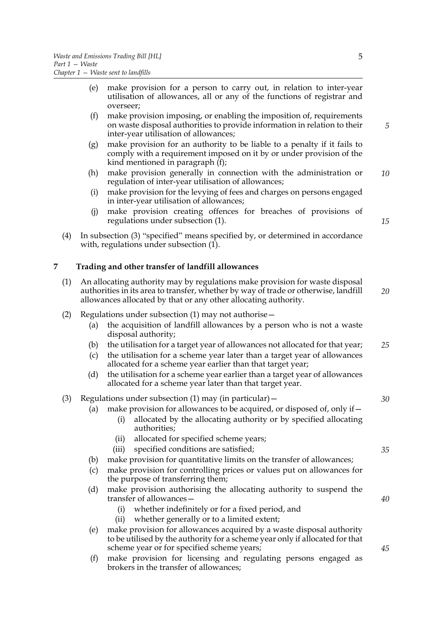- (e) make provision for a person to carry out, in relation to inter-year utilisation of allowances, all or any of the functions of registrar and overseer;
- (f) make provision imposing, or enabling the imposition of, requirements on waste disposal authorities to provide information in relation to their inter-year utilisation of allowances;
- (g) make provision for an authority to be liable to a penalty if it fails to comply with a requirement imposed on it by or under provision of the kind mentioned in paragraph (f);
- (h) make provision generally in connection with the administration or regulation of inter-year utilisation of allowances; *10*
- (i) make provision for the levying of fees and charges on persons engaged in inter-year utilisation of allowances;
- (j) make provision creating offences for breaches of provisions of regulations under subsection (1).
- (4) In subsection (3) "specified" means specified by, or determined in accordance with, regulations under subsection (1).

### **7 Trading and other transfer of landfill allowances**

- (1) An allocating authority may by regulations make provision for waste disposal authorities in its area to transfer, whether by way of trade or otherwise, landfill allowances allocated by that or any other allocating authority. *20*
- (2) Regulations under subsection (1) may not authorise—
	- (a) the acquisition of landfill allowances by a person who is not a waste disposal authority;
	- (b) the utilisation for a target year of allowances not allocated for that year; *25*
	- (c) the utilisation for a scheme year later than a target year of allowances allocated for a scheme year earlier than that target year;
	- (d) the utilisation for a scheme year earlier than a target year of allowances allocated for a scheme year later than that target year.

#### (3) Regulations under subsection (1) may (in particular)—

- (a) make provision for allowances to be acquired, or disposed of, only if  $-$ 
	- (i) allocated by the allocating authority or by specified allocating authorities;
	- (ii) allocated for specified scheme years;
	- (iii) specified conditions are satisfied;
- (b) make provision for quantitative limits on the transfer of allowances;
- (c) make provision for controlling prices or values put on allowances for the purpose of transferring them;
- (d) make provision authorising the allocating authority to suspend the transfer of allowances
	- whether indefinitely or for a fixed period, and
	- (ii) whether generally or to a limited extent;
- (e) make provision for allowances acquired by a waste disposal authority to be utilised by the authority for a scheme year only if allocated for that scheme year or for specified scheme years;
- (f) make provision for licensing and regulating persons engaged as brokers in the transfer of allowances;

*5*

*15*

*40*

*45*

*35*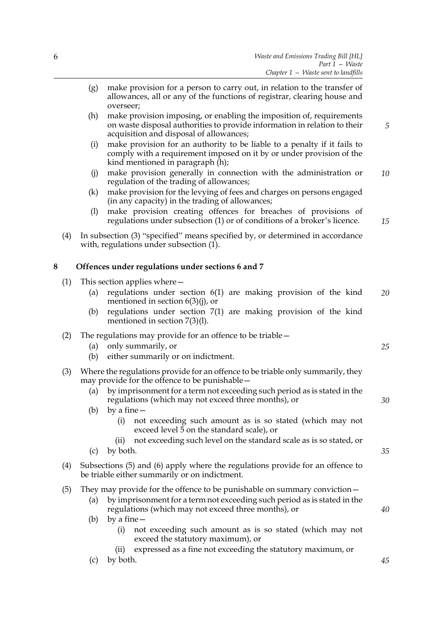- (g) make provision for a person to carry out, in relation to the transfer of allowances, all or any of the functions of registrar, clearing house and overseer;
- (h) make provision imposing, or enabling the imposition of, requirements on waste disposal authorities to provide information in relation to their acquisition and disposal of allowances;
- (i) make provision for an authority to be liable to a penalty if it fails to comply with a requirement imposed on it by or under provision of the kind mentioned in paragraph (h);
- (j) make provision generally in connection with the administration or regulation of the trading of allowances; *10*
- (k) make provision for the levying of fees and charges on persons engaged (in any capacity) in the trading of allowances;
- (l) make provision creating offences for breaches of provisions of regulations under subsection (1) or of conditions of a broker's licence.
- (4) In subsection (3) "specified" means specified by, or determined in accordance with, regulations under subsection  $(1)$ .

# **8 Offences under regulations under sections 6 and 7**

- (1) This section applies where—
	- (a) regulations under section 6(1) are making provision of the kind mentioned in section 6(3)(j), or *20*
	- (b) regulations under section 7(1) are making provision of the kind mentioned in section 7(3)(l).

#### (2) The regulations may provide for an offence to be triable—

- (a) only summarily, or
- (b) either summarily or on indictment.
- (3) Where the regulations provide for an offence to be triable only summarily, they may provide for the offence to be punishable—
	- (a) by imprisonment for a term not exceeding such period as is stated in the regulations (which may not exceed three months), or
	- (b) by a fine  $-$ 
		- (i) not exceeding such amount as is so stated (which may not exceed level 5 on the standard scale), or
		- (ii) not exceeding such level on the standard scale as is so stated, or
	- (c) by both.
- (4) Subsections (5) and (6) apply where the regulations provide for an offence to be triable either summarily or on indictment.

# (5) They may provide for the offence to be punishable on summary conviction—

- (a) by imprisonment for a term not exceeding such period as is stated in the regulations (which may not exceed three months), or
- (b) by a fine—
	- (i) not exceeding such amount as is so stated (which may not exceed the statutory maximum), or
	- (ii) expressed as a fine not exceeding the statutory maximum, or

*45*

*40*

(c) by both.

- 
- *30*

*35*

*25*

*5*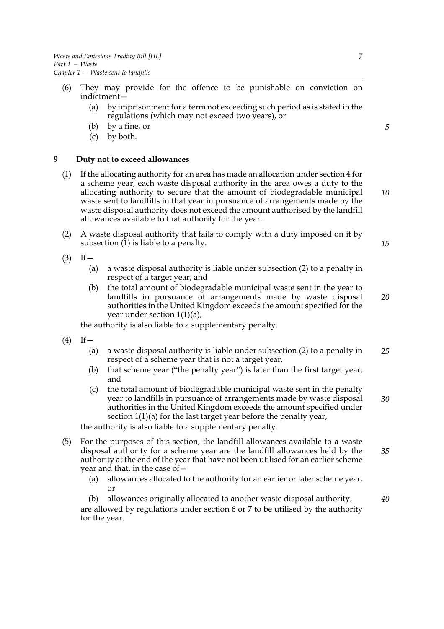- (6) They may provide for the offence to be punishable on conviction on indictment—
	- (a) by imprisonment for a term not exceeding such period as is stated in the regulations (which may not exceed two years), or
	- (b) by a fine, or
	- (c) by both.

### **9 Duty not to exceed allowances**

- (1) If the allocating authority for an area has made an allocation under section 4 for a scheme year, each waste disposal authority in the area owes a duty to the allocating authority to secure that the amount of biodegradable municipal waste sent to landfills in that year in pursuance of arrangements made by the waste disposal authority does not exceed the amount authorised by the landfill allowances available to that authority for the year.
- (2) A waste disposal authority that fails to comply with a duty imposed on it by subsection (1) is liable to a penalty.
- $(3)$  If
	- (a) a waste disposal authority is liable under subsection (2) to a penalty in respect of a target year, and
	- (b) the total amount of biodegradable municipal waste sent in the year to landfills in pursuance of arrangements made by waste disposal authorities in the United Kingdom exceeds the amount specified for the year under section 1(1)(a),

the authority is also liable to a supplementary penalty.

- $(4)$  If
	- (a) a waste disposal authority is liable under subsection (2) to a penalty in respect of a scheme year that is not a target year, *25*
	- (b) that scheme year ("the penalty year") is later than the first target year, and
	- (c) the total amount of biodegradable municipal waste sent in the penalty year to landfills in pursuance of arrangements made by waste disposal authorities in the United Kingdom exceeds the amount specified under section 1(1)(a) for the last target year before the penalty year, *30*

the authority is also liable to a supplementary penalty.

- (5) For the purposes of this section, the landfill allowances available to a waste disposal authority for a scheme year are the landfill allowances held by the authority at the end of the year that have not been utilised for an earlier scheme year and that, in the case of— *35*
	- (a) allowances allocated to the authority for an earlier or later scheme year, or

(b) allowances originally allocated to another waste disposal authority, are allowed by regulations under section 6 or 7 to be utilised by the authority for the year.

*40*

*5*

7

*10*

*15*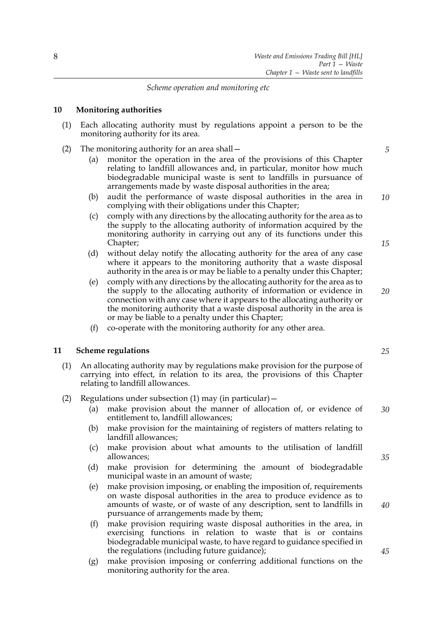*Scheme operation and monitoring etc*

#### **10 Monitoring authorities**

- (1) Each allocating authority must by regulations appoint a person to be the monitoring authority for its area.
- (2) The monitoring authority for an area shall—
	- (a) monitor the operation in the area of the provisions of this Chapter relating to landfill allowances and, in particular, monitor how much biodegradable municipal waste is sent to landfills in pursuance of arrangements made by waste disposal authorities in the area;
	- (b) audit the performance of waste disposal authorities in the area in complying with their obligations under this Chapter; *10*
	- (c) comply with any directions by the allocating authority for the area as to the supply to the allocating authority of information acquired by the monitoring authority in carrying out any of its functions under this Chapter;
	- (d) without delay notify the allocating authority for the area of any case where it appears to the monitoring authority that a waste disposal authority in the area is or may be liable to a penalty under this Chapter;
	- (e) comply with any directions by the allocating authority for the area as to the supply to the allocating authority of information or evidence in connection with any case where it appears to the allocating authority or the monitoring authority that a waste disposal authority in the area is or may be liable to a penalty under this Chapter;
	- (f) co-operate with the monitoring authority for any other area.

#### **11 Scheme regulations**

- (1) An allocating authority may by regulations make provision for the purpose of carrying into effect, in relation to its area, the provisions of this Chapter relating to landfill allowances.
- (2) Regulations under subsection (1) may (in particular)—
	- (a) make provision about the manner of allocation of, or evidence of entitlement to, landfill allowances; *30*
	- (b) make provision for the maintaining of registers of matters relating to landfill allowances;
	- (c) make provision about what amounts to the utilisation of landfill allowances;
	- (d) make provision for determining the amount of biodegradable municipal waste in an amount of waste;
	- (e) make provision imposing, or enabling the imposition of, requirements on waste disposal authorities in the area to produce evidence as to amounts of waste, or of waste of any description, sent to landfills in pursuance of arrangements made by them;
	- (f) make provision requiring waste disposal authorities in the area, in exercising functions in relation to waste that is or contains biodegradable municipal waste, to have regard to guidance specified in the regulations (including future guidance);
	- (g) make provision imposing or conferring additional functions on the monitoring authority for the area.

*15*

*5*

*20*

*25*

*35*

*45*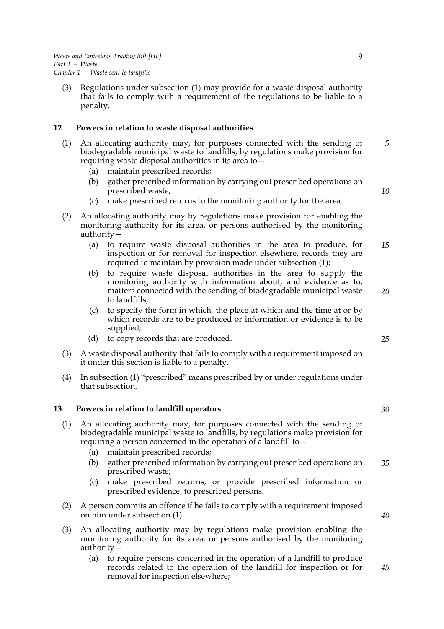(3) Regulations under subsection (1) may provide for a waste disposal authority that fails to comply with a requirement of the regulations to be liable to a penalty.

#### **12 Powers in relation to waste disposal authorities**

- (1) An allocating authority may, for purposes connected with the sending of biodegradable municipal waste to landfills, by regulations make provision for requiring waste disposal authorities in its area to— *5*
	- (a) maintain prescribed records;
	- (b) gather prescribed information by carrying out prescribed operations on prescribed waste;

*10*

*20*

*25*

*30*

- (c) make prescribed returns to the monitoring authority for the area.
- (2) An allocating authority may by regulations make provision for enabling the monitoring authority for its area, or persons authorised by the monitoring authority—
	- (a) to require waste disposal authorities in the area to produce, for inspection or for removal for inspection elsewhere, records they are required to maintain by provision made under subsection (1); *15*
	- (b) to require waste disposal authorities in the area to supply the monitoring authority with information about, and evidence as to, matters connected with the sending of biodegradable municipal waste to landfills;
	- (c) to specify the form in which, the place at which and the time at or by which records are to be produced or information or evidence is to be supplied;
	- (d) to copy records that are produced.
- (3) A waste disposal authority that fails to comply with a requirement imposed on it under this section is liable to a penalty.
- (4) In subsection (1) "prescribed" means prescribed by or under regulations under that subsection.

#### **13 Powers in relation to landfill operators**

- (1) An allocating authority may, for purposes connected with the sending of biodegradable municipal waste to landfills, by regulations make provision for requiring a person concerned in the operation of a landfill to—
	- (a) maintain prescribed records;
	- (b) gather prescribed information by carrying out prescribed operations on prescribed waste; *35*
	- (c) make prescribed returns, or provide prescribed information or prescribed evidence, to prescribed persons.
- (2) A person commits an offence if he fails to comply with a requirement imposed on him under subsection (1).
- (3) An allocating authority may by regulations make provision enabling the monitoring authority for its area, or persons authorised by the monitoring authority—
	- (a) to require persons concerned in the operation of a landfill to produce records related to the operation of the landfill for inspection or for removal for inspection elsewhere;
- *40*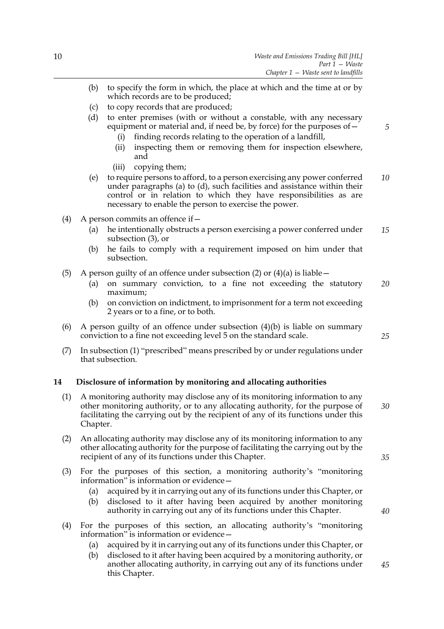- (b) to specify the form in which, the place at which and the time at or by which records are to be produced;
- (c) to copy records that are produced;
- (d) to enter premises (with or without a constable, with any necessary equipment or material and, if need be, by force) for the purposes of—
	- (i) finding records relating to the operation of a landfill,
	- (ii) inspecting them or removing them for inspection elsewhere, and
	- (iii) copying them;
- (e) to require persons to afford, to a person exercising any power conferred under paragraphs (a) to (d), such facilities and assistance within their control or in relation to which they have responsibilities as are necessary to enable the person to exercise the power. *10*
- (4) A person commits an offence if  $-$ 
	- (a) he intentionally obstructs a person exercising a power conferred under subsection (3), or *15*
	- (b) he fails to comply with a requirement imposed on him under that subsection.
- (5) A person guilty of an offence under subsection (2) or  $(4)(a)$  is liable
	- (a) on summary conviction, to a fine not exceeding the statutory maximum; *20*
	- (b) on conviction on indictment, to imprisonment for a term not exceeding 2 years or to a fine, or to both.
- (6) A person guilty of an offence under subsection  $(4)(b)$  is liable on summary conviction to a fine not exceeding level 5 on the standard scale.
- (7) In subsection (1) "prescribed" means prescribed by or under regulations under that subsection.

### **14 Disclosure of information by monitoring and allocating authorities**

- (1) A monitoring authority may disclose any of its monitoring information to any other monitoring authority, or to any allocating authority, for the purpose of facilitating the carrying out by the recipient of any of its functions under this Chapter.
- (2) An allocating authority may disclose any of its monitoring information to any other allocating authority for the purpose of facilitating the carrying out by the recipient of any of its functions under this Chapter.
- (3) For the purposes of this section, a monitoring authority's "monitoring information" is information or evidence—
	- (a) acquired by it in carrying out any of its functions under this Chapter, or
	- (b) disclosed to it after having been acquired by another monitoring authority in carrying out any of its functions under this Chapter.
- (4) For the purposes of this section, an allocating authority's "monitoring information" is information or evidence—
	- (a) acquired by it in carrying out any of its functions under this Chapter, or
	- (b) disclosed to it after having been acquired by a monitoring authority, or another allocating authority, in carrying out any of its functions under this Chapter. *45*

*25*

*5*

*35*

*30*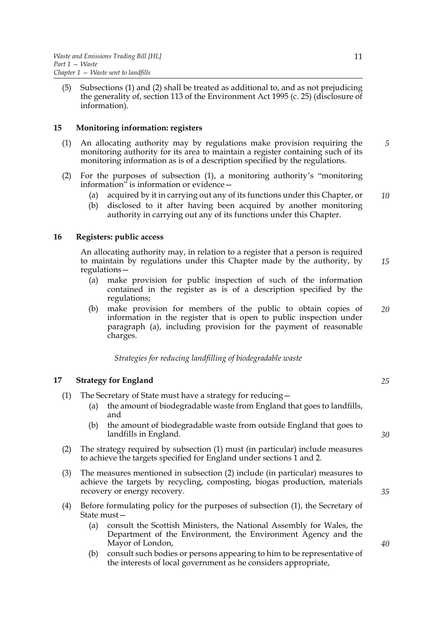(5) Subsections (1) and (2) shall be treated as additional to, and as not prejudicing the generality of, section 113 of the Environment Act 1995 (c. 25) (disclosure of information).

#### **15 Monitoring information: registers**

- (1) An allocating authority may by regulations make provision requiring the monitoring authority for its area to maintain a register containing such of its monitoring information as is of a description specified by the regulations. *5*
- (2) For the purposes of subsection (1), a monitoring authority's "monitoring information" is information or evidence -
	- (a) acquired by it in carrying out any of its functions under this Chapter, or *10*
	- (b) disclosed to it after having been acquired by another monitoring authority in carrying out any of its functions under this Chapter.

#### **16 Registers: public access**

An allocating authority may, in relation to a register that a person is required to maintain by regulations under this Chapter made by the authority, by regulations—

- (a) make provision for public inspection of such of the information contained in the register as is of a description specified by the regulations;
- (b) make provision for members of the public to obtain copies of information in the register that is open to public inspection under paragraph (a), including provision for the payment of reasonable charges. *20*

*Strategies for reducing landfilling of biodegradable waste*

#### **17 Strategy for England**

- (1) The Secretary of State must have a strategy for reducing—
	- (a) the amount of biodegradable waste from England that goes to landfills, and
	- (b) the amount of biodegradable waste from outside England that goes to landfills in England.
- (2) The strategy required by subsection (1) must (in particular) include measures to achieve the targets specified for England under sections 1 and 2.
- (3) The measures mentioned in subsection (2) include (in particular) measures to achieve the targets by recycling, composting, biogas production, materials recovery or energy recovery.
- (4) Before formulating policy for the purposes of subsection (1), the Secretary of State must—
	- (a) consult the Scottish Ministers, the National Assembly for Wales, the Department of the Environment, the Environment Agency and the Mayor of London,
	- (b) consult such bodies or persons appearing to him to be representative of the interests of local government as he considers appropriate,

*30*

*25*

*15*

*35*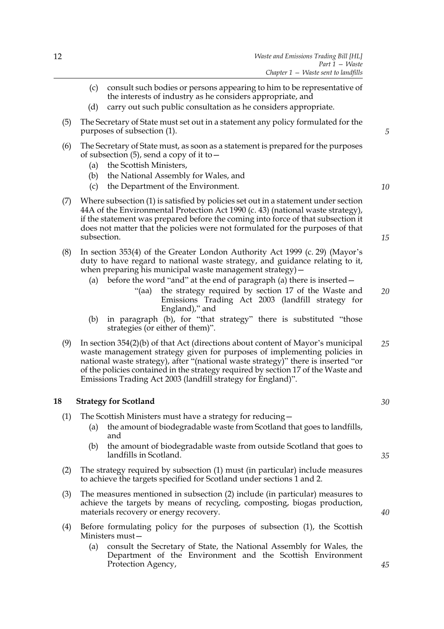- (c) consult such bodies or persons appearing to him to be representative of the interests of industry as he considers appropriate, and
- (d) carry out such public consultation as he considers appropriate.
- (5) The Secretary of State must set out in a statement any policy formulated for the purposes of subsection (1).
- (6) The Secretary of State must, as soon as a statement is prepared for the purposes of subsection  $(5)$ , send a copy of it to  $-$ 
	- (a) the Scottish Ministers,
	- (b) the National Assembly for Wales, and
	- (c) the Department of the Environment.
- (7) Where subsection (1) is satisfied by policies set out in a statement under section 44A of the Environmental Protection Act 1990 (c. 43) (national waste strategy), if the statement was prepared before the coming into force of that subsection it does not matter that the policies were not formulated for the purposes of that subsection.
- (8) In section 353(4) of the Greater London Authority Act 1999 (c. 29) (Mayor's duty to have regard to national waste strategy, and guidance relating to it, when preparing his municipal waste management strategy) —
	- (a) before the word "and" at the end of paragraph (a) there is inserted—
		- "(aa) the strategy required by section 17 of the Waste and Emissions Trading Act 2003 (landfill strategy for England)," and *20*
	- (b) in paragraph (b), for "that strategy" there is substituted "those strategies (or either of them)".
- (9) In section 354(2)(b) of that Act (directions about content of Mayor's municipal waste management strategy given for purposes of implementing policies in national waste strategy), after "(national waste strategy)" there is inserted "or of the policies contained in the strategy required by section 17 of the Waste and Emissions Trading Act 2003 (landfill strategy for England)". *25*

#### **18 Strategy for Scotland**

- (1) The Scottish Ministers must have a strategy for reducing—
	- (a) the amount of biodegradable waste from Scotland that goes to landfills, and
	- (b) the amount of biodegradable waste from outside Scotland that goes to landfills in Scotland.
- (2) The strategy required by subsection (1) must (in particular) include measures to achieve the targets specified for Scotland under sections 1 and 2.
- (3) The measures mentioned in subsection (2) include (in particular) measures to achieve the targets by means of recycling, composting, biogas production, materials recovery or energy recovery.
- (4) Before formulating policy for the purposes of subsection (1), the Scottish Ministers must—
	- (a) consult the Secretary of State, the National Assembly for Wales, the Department of the Environment and the Scottish Environment Protection Agency,

*10*

*5*

*15*

*35*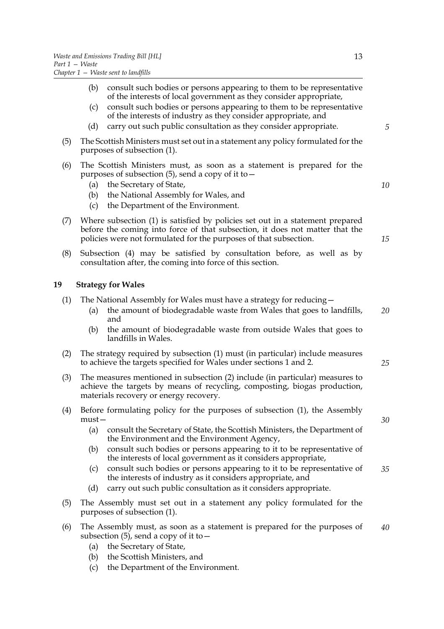- (b) consult such bodies or persons appearing to them to be representative of the interests of local government as they consider appropriate,
- (c) consult such bodies or persons appearing to them to be representative of the interests of industry as they consider appropriate, and
- (d) carry out such public consultation as they consider appropriate.
- (5) The Scottish Ministers must set out in a statement any policy formulated for the purposes of subsection (1).
- (6) The Scottish Ministers must, as soon as a statement is prepared for the purposes of subsection  $(5)$ , send a copy of it to  $-$ 
	- (a) the Secretary of State,
	- (b) the National Assembly for Wales, and
	- (c) the Department of the Environment.
- (7) Where subsection (1) is satisfied by policies set out in a statement prepared before the coming into force of that subsection, it does not matter that the policies were not formulated for the purposes of that subsection.
- (8) Subsection (4) may be satisfied by consultation before, as well as by consultation after, the coming into force of this section.

#### **19 Strategy for Wales**

- (1) The National Assembly for Wales must have a strategy for reducing—
	- (a) the amount of biodegradable waste from Wales that goes to landfills, and *20*
	- (b) the amount of biodegradable waste from outside Wales that goes to landfills in Wales.
- (2) The strategy required by subsection (1) must (in particular) include measures to achieve the targets specified for Wales under sections 1 and 2.
- (3) The measures mentioned in subsection (2) include (in particular) measures to achieve the targets by means of recycling, composting, biogas production, materials recovery or energy recovery.
- (4) Before formulating policy for the purposes of subsection (1), the Assembly must—
	- (a) consult the Secretary of State, the Scottish Ministers, the Department of the Environment and the Environment Agency,
	- (b) consult such bodies or persons appearing to it to be representative of the interests of local government as it considers appropriate,
	- (c) consult such bodies or persons appearing to it to be representative of the interests of industry as it considers appropriate, and *35*
	- (d) carry out such public consultation as it considers appropriate.
- (5) The Assembly must set out in a statement any policy formulated for the purposes of subsection (1).
- (6) The Assembly must, as soon as a statement is prepared for the purposes of subsection  $(5)$ , send a copy of it to  $-$ *40*
	- (a) the Secretary of State,
	- (b) the Scottish Ministers, and
	- (c) the Department of the Environment.

*5*

*10*

*15*

*25*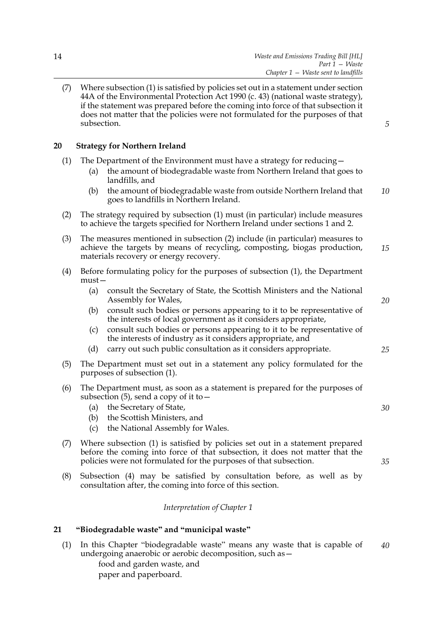(7) Where subsection (1) is satisfied by policies set out in a statement under section 44A of the Environmental Protection Act 1990 (c. 43) (national waste strategy), if the statement was prepared before the coming into force of that subsection it does not matter that the policies were not formulated for the purposes of that subsection. **20 Strategy for Northern Ireland**  (1) The Department of the Environment must have a strategy for reducing— (a) the amount of biodegradable waste from Northern Ireland that goes to landfills, and (b) the amount of biodegradable waste from outside Northern Ireland that goes to landfills in Northern Ireland. (2) The strategy required by subsection (1) must (in particular) include measures to achieve the targets specified for Northern Ireland under sections 1 and 2. (3) The measures mentioned in subsection (2) include (in particular) measures to achieve the targets by means of recycling, composting, biogas production, materials recovery or energy recovery. (4) Before formulating policy for the purposes of subsection (1), the Department must— (a) consult the Secretary of State, the Scottish Ministers and the National Assembly for Wales, (b) consult such bodies or persons appearing to it to be representative of the interests of local government as it considers appropriate, (c) consult such bodies or persons appearing to it to be representative of the interests of industry as it considers appropriate, and (d) carry out such public consultation as it considers appropriate. (5) The Department must set out in a statement any policy formulated for the purposes of subsection (1). (6) The Department must, as soon as a statement is prepared for the purposes of subsection  $(5)$ , send a copy of it to  $-$ (a) the Secretary of State, (b) the Scottish Ministers, and (c) the National Assembly for Wales. (7) Where subsection (1) is satisfied by policies set out in a statement prepared before the coming into force of that subsection, it does not matter that the policies were not formulated for the purposes of that subsection. (8) Subsection (4) may be satisfied by consultation before, as well as by consultation after, the coming into force of this section. *5 10 15 20 25 30 35*

# *Interpretation of Chapter 1*

# **21 "Biodegradable waste" and "municipal waste"**

(1) In this Chapter "biodegradable waste" means any waste that is capable of undergoing anaerobic or aerobic decomposition, such as food and garden waste, and paper and paperboard. *40*

- 
-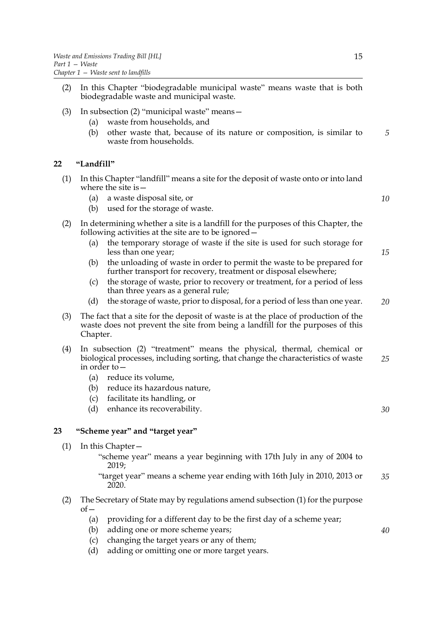- (2) In this Chapter "biodegradable municipal waste" means waste that is both biodegradable waste and municipal waste.
- (3) In subsection (2) "municipal waste" means—
	- (a) waste from households, and
	- (b) other waste that, because of its nature or composition, is similar to waste from households. *5*

#### **22 "Landfill"**

- (1) In this Chapter "landfill" means a site for the deposit of waste onto or into land where the site is—
	- (a) a waste disposal site, or
	- (b) used for the storage of waste.
- (2) In determining whether a site is a landfill for the purposes of this Chapter, the following activities at the site are to be ignored—
	- (a) the temporary storage of waste if the site is used for such storage for less than one year;
	- (b) the unloading of waste in order to permit the waste to be prepared for further transport for recovery, treatment or disposal elsewhere;
	- (c) the storage of waste, prior to recovery or treatment, for a period of less than three years as a general rule;
	- (d) the storage of waste, prior to disposal, for a period of less than one year. *20*
- (3) The fact that a site for the deposit of waste is at the place of production of the waste does not prevent the site from being a landfill for the purposes of this Chapter.
- (4) In subsection (2) "treatment" means the physical, thermal, chemical or biological processes, including sorting, that change the characteristics of waste in order to— *25*
	- (a) reduce its volume,
	- (b) reduce its hazardous nature,
	- (c) facilitate its handling, or
	- (d) enhance its recoverability.

#### **23 "Scheme year" and "target year"**

(1) In this Chapter—

"scheme year" means a year beginning with 17th July in any of 2004 to 2019;

"target year" means a scheme year ending with 16th July in 2010, 2013 or 2020. *35*

- (2) The Secretary of State may by regulations amend subsection (1) for the purpose  $of-$ 
	- (a) providing for a different day to be the first day of a scheme year;
	- (b) adding one or more scheme years;
	- (c) changing the target years or any of them;
	- (d) adding or omitting one or more target years.

*30*

*10*

*15*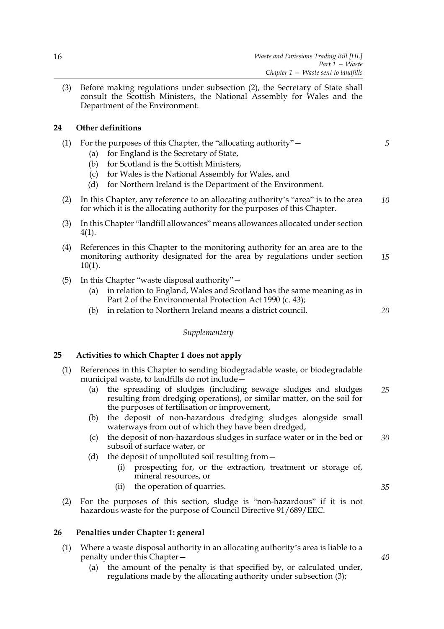(3) Before making regulations under subsection (2), the Secretary of State shall consult the Scottish Ministers, the National Assembly for Wales and the Department of the Environment.

# **24 Other definitions**

- (1) For the purposes of this Chapter, the "allocating authority"— *5*
	- (a) for England is the Secretary of State,
	- (b) for Scotland is the Scottish Ministers,
	- (c) for Wales is the National Assembly for Wales, and
	- (d) for Northern Ireland is the Department of the Environment.
- (2) In this Chapter, any reference to an allocating authority's "area" is to the area for which it is the allocating authority for the purposes of this Chapter. *10*
- (3) In this Chapter "landfill allowances" means allowances allocated under section 4(1).
- (4) References in this Chapter to the monitoring authority for an area are to the monitoring authority designated for the area by regulations under section 10(1). *15*
- (5) In this Chapter "waste disposal authority"—
	- (a) in relation to England, Wales and Scotland has the same meaning as in Part 2 of the Environmental Protection Act 1990 (c. 43);
	- (b) in relation to Northern Ireland means a district council. *20*

#### *Supplementary*

# **25 Activities to which Chapter 1 does not apply**

- (1) References in this Chapter to sending biodegradable waste, or biodegradable municipal waste, to landfills do not include—
	- (a) the spreading of sludges (including sewage sludges and sludges resulting from dredging operations), or similar matter, on the soil for the purposes of fertilisation or improvement, *25*
	- (b) the deposit of non-hazardous dredging sludges alongside small waterways from out of which they have been dredged,
	- (c) the deposit of non-hazardous sludges in surface water or in the bed or subsoil of surface water, or *30*
	- (d) the deposit of unpolluted soil resulting from—
		- (i) prospecting for, or the extraction, treatment or storage of, mineral resources, or
		- (ii) the operation of quarries.
- (2) For the purposes of this section, sludge is "non-hazardous" if it is not hazardous waste for the purpose of Council Directive 91/689/EEC.

# **26 Penalties under Chapter 1: general**

- (1) Where a waste disposal authority in an allocating authority's area is liable to a penalty under this Chapter—
	- (a) the amount of the penalty is that specified by, or calculated under, regulations made by the allocating authority under subsection (3);

*40*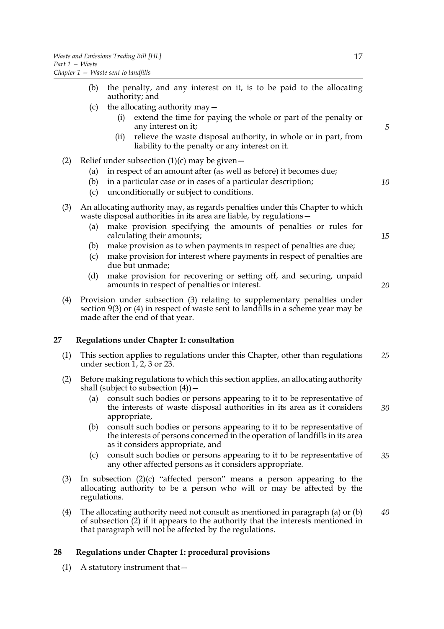- (b) the penalty, and any interest on it, is to be paid to the allocating authority; and
- (c) the allocating authority may  $-$ 
	- (i) extend the time for paying the whole or part of the penalty or any interest on it;
	- (ii) relieve the waste disposal authority, in whole or in part, from liability to the penalty or any interest on it.
- (2) Relief under subsection  $(1)(c)$  may be given
	- (a) in respect of an amount after (as well as before) it becomes due;
	- (b) in a particular case or in cases of a particular description;
	- (c) unconditionally or subject to conditions.
- (3) An allocating authority may, as regards penalties under this Chapter to which waste disposal authorities in its area are liable, by regulations—
	- (a) make provision specifying the amounts of penalties or rules for calculating their amounts;
	- (b) make provision as to when payments in respect of penalties are due;
	- (c) make provision for interest where payments in respect of penalties are due but unmade;
	- (d) make provision for recovering or setting off, and securing, unpaid amounts in respect of penalties or interest.
- (4) Provision under subsection (3) relating to supplementary penalties under section 9(3) or (4) in respect of waste sent to landfills in a scheme year may be made after the end of that year.

#### **27 Regulations under Chapter 1: consultation**

- (1) This section applies to regulations under this Chapter, other than regulations under section 1, 2, 3 or 23. *25*
- (2) Before making regulations to which this section applies, an allocating authority shall (subject to subsection  $(4)$ ) –
	- (a) consult such bodies or persons appearing to it to be representative of the interests of waste disposal authorities in its area as it considers appropriate, *30*
	- (b) consult such bodies or persons appearing to it to be representative of the interests of persons concerned in the operation of landfills in its area as it considers appropriate, and
	- (c) consult such bodies or persons appearing to it to be representative of any other affected persons as it considers appropriate. *35*
- (3) In subsection  $(2)(c)$  "affected person" means a person appearing to the allocating authority to be a person who will or may be affected by the regulations.
- (4) The allocating authority need not consult as mentioned in paragraph (a) or (b) of subsection (2) if it appears to the authority that the interests mentioned in that paragraph will not be affected by the regulations. *40*

#### **28 Regulations under Chapter 1: procedural provisions**

(1) A statutory instrument that—

*15*

*10*

*5*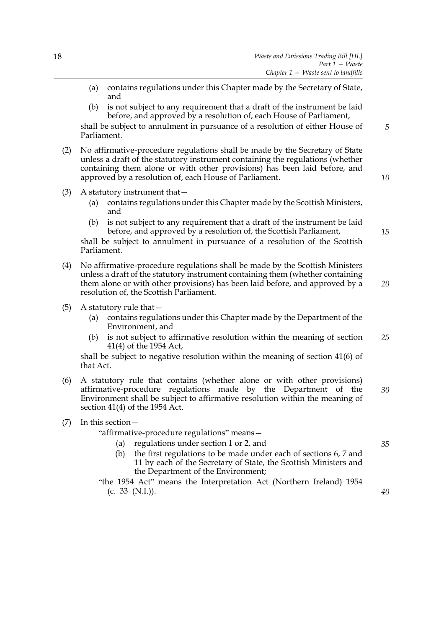- (a) contains regulations under this Chapter made by the Secretary of State, and
- (b) is not subject to any requirement that a draft of the instrument be laid before, and approved by a resolution of, each House of Parliament,

shall be subject to annulment in pursuance of a resolution of either House of Parliament. *5*

- (2) No affirmative-procedure regulations shall be made by the Secretary of State unless a draft of the statutory instrument containing the regulations (whether containing them alone or with other provisions) has been laid before, and approved by a resolution of, each House of Parliament.
- (3) A statutory instrument that—
	- (a) contains regulations under this Chapter made by the Scottish Ministers, and
	- (b) is not subject to any requirement that a draft of the instrument be laid before, and approved by a resolution of, the Scottish Parliament,

shall be subject to annulment in pursuance of a resolution of the Scottish Parliament.

- (4) No affirmative-procedure regulations shall be made by the Scottish Ministers unless a draft of the statutory instrument containing them (whether containing them alone or with other provisions) has been laid before, and approved by a resolution of, the Scottish Parliament.
- (5) A statutory rule that—
	- (a) contains regulations under this Chapter made by the Department of the Environment, and
	- (b) is not subject to affirmative resolution within the meaning of section 41(4) of the 1954 Act, *25*

shall be subject to negative resolution within the meaning of section 41(6) of that Act.

- (6) A statutory rule that contains (whether alone or with other provisions) affirmative-procedure regulations made by the Department of the Environment shall be subject to affirmative resolution within the meaning of section 41(4) of the 1954 Act. *30*
- (7) In this section—

"affirmative-procedure regulations" means—

- (a) regulations under section 1 or 2, and
- (b) the first regulations to be made under each of sections 6, 7 and 11 by each of the Secretary of State, the Scottish Ministers and the Department of the Environment;
- "the 1954 Act" means the Interpretation Act (Northern Ireland) 1954 (c. 33 (N.I.)).

*10*

*15*

*35*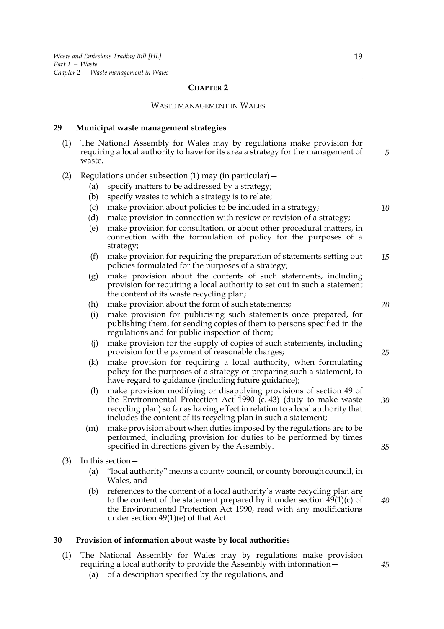#### **CHAPTER 2**

#### WASTE MANAGEMENT IN WALES

#### **29 Municipal waste management strategies**

- (1) The National Assembly for Wales may by regulations make provision for requiring a local authority to have for its area a strategy for the management of waste. *5*
- (2) Regulations under subsection (1) may (in particular)—
	- (a) specify matters to be addressed by a strategy;
	- (b) specify wastes to which a strategy is to relate;
	- (c) make provision about policies to be included in a strategy;
	- (d) make provision in connection with review or revision of a strategy;
	- (e) make provision for consultation, or about other procedural matters, in connection with the formulation of policy for the purposes of a strategy;
	- (f) make provision for requiring the preparation of statements setting out policies formulated for the purposes of a strategy; *15*
	- (g) make provision about the contents of such statements, including provision for requiring a local authority to set out in such a statement the content of its waste recycling plan;
	- (h) make provision about the form of such statements;
	- (i) make provision for publicising such statements once prepared, for publishing them, for sending copies of them to persons specified in the regulations and for public inspection of them;
	- (j) make provision for the supply of copies of such statements, including provision for the payment of reasonable charges;
	- (k) make provision for requiring a local authority, when formulating policy for the purposes of a strategy or preparing such a statement, to have regard to guidance (including future guidance);
	- (l) make provision modifying or disapplying provisions of section 49 of the Environmental Protection Act 1990 (c. 43) (duty to make waste recycling plan) so far as having effect in relation to a local authority that includes the content of its recycling plan in such a statement;
	- (m) make provision about when duties imposed by the regulations are to be performed, including provision for duties to be performed by times specified in directions given by the Assembly.
- (3) In this section—
	- (a) "local authority" means a county council, or county borough council, in Wales, and
	- (b) references to the content of a local authority's waste recycling plan are to the content of the statement prepared by it under section  $49(1)(c)$  of the Environmental Protection Act 1990, read with any modifications under section 49(1)(e) of that Act.

#### **30 Provision of information about waste by local authorities**

- (1) The National Assembly for Wales may by regulations make provision requiring a local authority to provide the Assembly with information—
	- (a) of a description specified by the regulations, and

*20*

*10*

*25*

*30*

*35*

*40*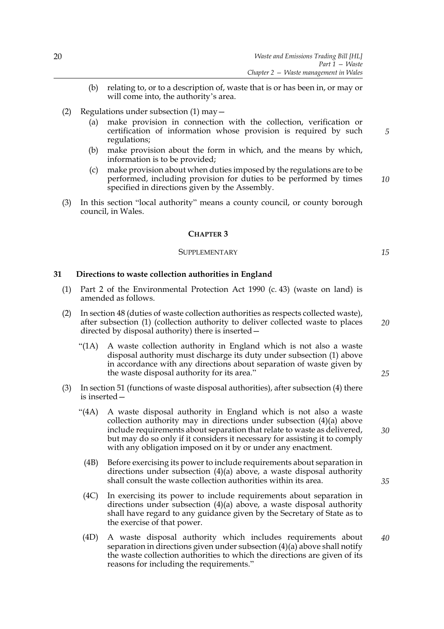- (b) relating to, or to a description of, waste that is or has been in, or may or will come into, the authority's area.
- (2) Regulations under subsection (1) may—
	- (a) make provision in connection with the collection, verification or certification of information whose provision is required by such regulations;
	- (b) make provision about the form in which, and the means by which, information is to be provided;
	- (c) make provision about when duties imposed by the regulations are to be performed, including provision for duties to be performed by times specified in directions given by the Assembly. *10*
- (3) In this section "local authority" means a county council, or county borough council, in Wales.

#### **CHAPTER 3**

#### SUPPLEMENTARY

#### **31 Directions to waste collection authorities in England**

- (1) Part 2 of the Environmental Protection Act 1990 (c. 43) (waste on land) is amended as follows.
- (2) In section 48 (duties of waste collection authorities as respects collected waste), after subsection (1) (collection authority to deliver collected waste to places directed by disposal authority) there is inserted—
	- "(1A) A waste collection authority in England which is not also a waste disposal authority must discharge its duty under subsection (1) above in accordance with any directions about separation of waste given by the waste disposal authority for its area."
- (3) In section 51 (functions of waste disposal authorities), after subsection (4) there is inserted—
	- "(4A) A waste disposal authority in England which is not also a waste collection authority may in directions under subsection (4)(a) above include requirements about separation that relate to waste as delivered, but may do so only if it considers it necessary for assisting it to comply with any obligation imposed on it by or under any enactment.
		- (4B) Before exercising its power to include requirements about separation in directions under subsection (4)(a) above, a waste disposal authority shall consult the waste collection authorities within its area.
	- (4C) In exercising its power to include requirements about separation in directions under subsection (4)(a) above, a waste disposal authority shall have regard to any guidance given by the Secretary of State as to the exercise of that power.
	- (4D) A waste disposal authority which includes requirements about separation in directions given under subsection  $(4)(a)$  above shall notify the waste collection authorities to which the directions are given of its reasons for including the requirements." *40*

*15*

*5*

*25*

*20*

*35*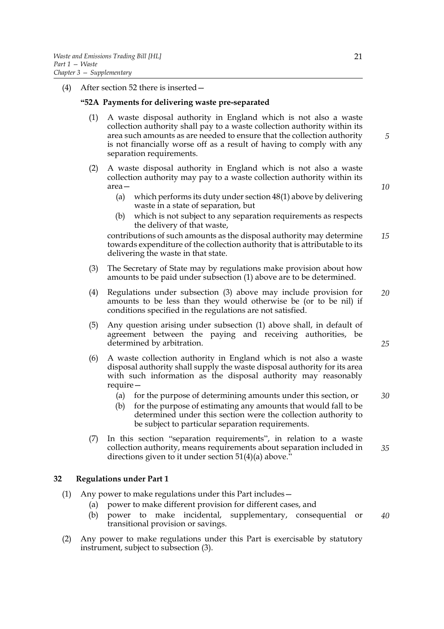(4) After section 52 there is inserted—

#### **"52A Payments for delivering waste pre-separated**

- (1) A waste disposal authority in England which is not also a waste collection authority shall pay to a waste collection authority within its area such amounts as are needed to ensure that the collection authority is not financially worse off as a result of having to comply with any separation requirements.
- (2) A waste disposal authority in England which is not also a waste collection authority may pay to a waste collection authority within its area—
	- (a) which performs its duty under section 48(1) above by delivering waste in a state of separation, but
	- (b) which is not subject to any separation requirements as respects the delivery of that waste,

contributions of such amounts as the disposal authority may determine towards expenditure of the collection authority that is attributable to its delivering the waste in that state. *15*

- (3) The Secretary of State may by regulations make provision about how amounts to be paid under subsection (1) above are to be determined.
- (4) Regulations under subsection (3) above may include provision for amounts to be less than they would otherwise be (or to be nil) if conditions specified in the regulations are not satisfied. *20*
- (5) Any question arising under subsection (1) above shall, in default of agreement between the paying and receiving authorities, be determined by arbitration.
- (6) A waste collection authority in England which is not also a waste disposal authority shall supply the waste disposal authority for its area with such information as the disposal authority may reasonably require—
	- (a) for the purpose of determining amounts under this section, or *30*
	- (b) for the purpose of estimating any amounts that would fall to be determined under this section were the collection authority to be subject to particular separation requirements.
- (7) In this section "separation requirements", in relation to a waste collection authority, means requirements about separation included in directions given to it under section 51(4)(a) above."

#### **32 Regulations under Part 1**

- (1) Any power to make regulations under this Part includes—
	- (a) power to make different provision for different cases, and
	- (b) power to make incidental, supplementary, consequential or transitional provision or savings. *40*
- (2) Any power to make regulations under this Part is exercisable by statutory instrument, subject to subsection (3).

*25*

*5*

*10*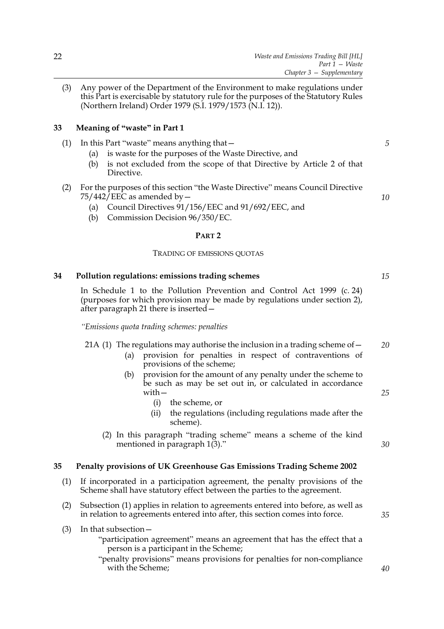(3) Any power of the Department of the Environment to make regulations under this Part is exercisable by statutory rule for the purposes of the Statutory Rules (Northern Ireland) Order 1979 (S.I. 1979/1573 (N.I. 12)).

#### **33 Meaning of "waste" in Part 1**

- (1) In this Part "waste" means anything that—
	- (a) is waste for the purposes of the Waste Directive, and
	- (b) is not excluded from the scope of that Directive by Article 2 of that Directive.
- (2) For the purposes of this section "the Waste Directive" means Council Directive  $75/442/EEC$  as amended by  $-$ 
	- (a) Council Directives 91/156/EEC and 91/692/EEC, and
	- (b) Commission Decision 96/350/EC.

#### **PART 2**

#### TRADING OF EMISSIONS QUOTAS

#### **34 Pollution regulations: emissions trading schemes**

In Schedule 1 to the Pollution Prevention and Control Act 1999 (c. 24) (purposes for which provision may be made by regulations under section 2), after paragraph 21 there is inserted—

*"Emissions quota trading schemes: penalties*

#### 21A (1) The regulations may authorise the inclusion in a trading scheme of  $-$ *20*

- (a) provision for penalties in respect of contraventions of provisions of the scheme;
	- (b) provision for the amount of any penalty under the scheme to be such as may be set out in, or calculated in accordance with—
		- (i) the scheme, or
		- (ii) the regulations (including regulations made after the scheme).
- (2) In this paragraph "trading scheme" means a scheme of the kind mentioned in paragraph 1(3)."

#### **35 Penalty provisions of UK Greenhouse Gas Emissions Trading Scheme 2002**

- (1) If incorporated in a participation agreement, the penalty provisions of the Scheme shall have statutory effect between the parties to the agreement.
- (2) Subsection (1) applies in relation to agreements entered into before, as well as in relation to agreements entered into after, this section comes into force.
- (3) In that subsection—

"participation agreement" means an agreement that has the effect that a person is a participant in the Scheme;

"penalty provisions" means provisions for penalties for non-compliance with the Scheme;

*5*

*10*

*15*

*25*

*30*

*35*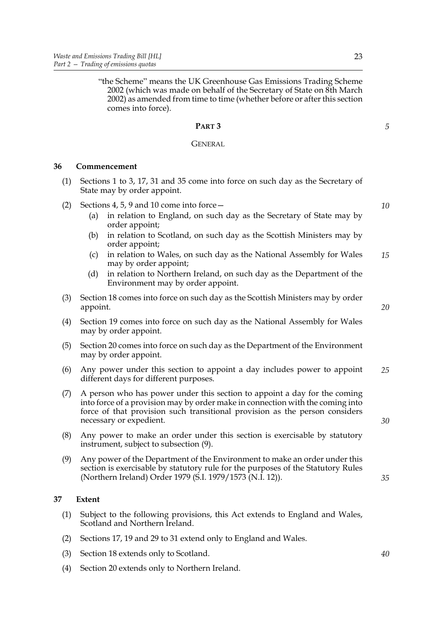"the Scheme" means the UK Greenhouse Gas Emissions Trading Scheme 2002 (which was made on behalf of the Secretary of State on 8th March 2002) as amended from time to time (whether before or after this section comes into force).

#### **PART 3**

#### **GENERAL**

#### **36 Commencement**

- (1) Sections 1 to 3, 17, 31 and 35 come into force on such day as the Secretary of State may by order appoint.
- (2) Sections 4, 5, 9 and 10 come into force  $-$ 
	- (a) in relation to England, on such day as the Secretary of State may by order appoint;
	- (b) in relation to Scotland, on such day as the Scottish Ministers may by order appoint;
	- (c) in relation to Wales, on such day as the National Assembly for Wales may by order appoint; *15*
	- (d) in relation to Northern Ireland, on such day as the Department of the Environment may by order appoint.
- (3) Section 18 comes into force on such day as the Scottish Ministers may by order appoint.
- (4) Section 19 comes into force on such day as the National Assembly for Wales may by order appoint.
- (5) Section 20 comes into force on such day as the Department of the Environment may by order appoint.
- (6) Any power under this section to appoint a day includes power to appoint different days for different purposes. *25*
- (7) A person who has power under this section to appoint a day for the coming into force of a provision may by order make in connection with the coming into force of that provision such transitional provision as the person considers necessary or expedient.
- (8) Any power to make an order under this section is exercisable by statutory instrument, subject to subsection (9).
- (9) Any power of the Department of the Environment to make an order under this section is exercisable by statutory rule for the purposes of the Statutory Rules (Northern Ireland) Order 1979 (S.I. 1979/1573 (N.I. 12)).

#### **37 Extent**

- (1) Subject to the following provisions, this Act extends to England and Wales, Scotland and Northern Ireland.
- (2) Sections 17, 19 and 29 to 31 extend only to England and Wales.
- (3) Section 18 extends only to Scotland.
- (4) Section 20 extends only to Northern Ireland.

*30*

*35*

*10*

*20*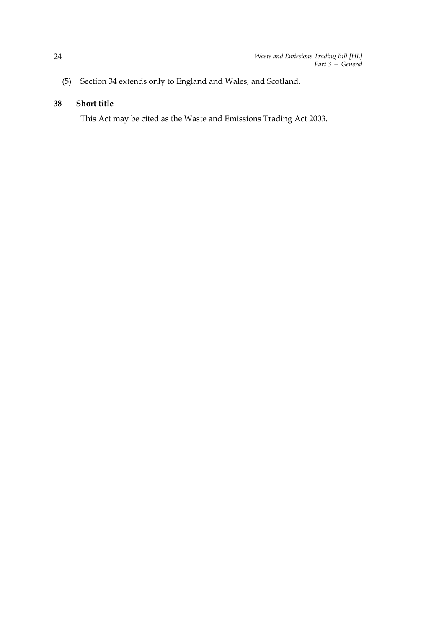(5) Section 34 extends only to England and Wales, and Scotland.

# **38 Short title**

This Act may be cited as the Waste and Emissions Trading Act 2003.